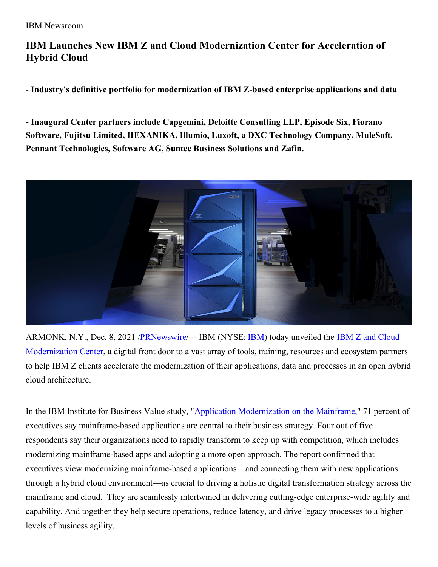## **IBM Launches New IBM Z and Cloud Modernization Center for Acceleration of Hybrid Cloud**

**- Industry's definitive portfolio for modernization of IBM Z-based enterprise applications and data**

**- Inaugural Center partners include Capgemini, Deloitte Consulting LLP, Episode Six, Fiorano Software, Fujitsu Limited, HEXANIKA, Illumio, Luxoft, a DXC Technology Company, MuleSoft, Pennant Technologies, Software AG, Suntec Business Solutions and Zafin.**



ARMONK, N.Y., Dec. 8, 2021 [/PRNewswire](http://www.prnewswire.com/)/ -- [IBM](https://c212.net/c/link/?t=0&l=en&o=3382707-1&h=578854690&u=https%3A%2F%2Fwww.ibm.com%2Finvestor&a=IBM) (NYSE: IBM) today unveiled the IBM Z and Cloud [Modernization](https://c212.net/c/link/?t=0&l=en&o=3382707-1&h=1402799750&u=https%3A%2F%2Fibm.biz%2Fzandcloud&a=IBM+Z+and+Cloud+Modernization+Center) Center, a digital front door to a vast array of tools, training, resources and ecosystem partners to help IBM Z clients accelerate the modernization of their applications, data and processes in an open hybrid cloud architecture.

In the IBM Institute for Business Value study, "Application [Modernization](https://c212.net/c/link/?t=0&l=en&o=3382707-1&h=832037741&u=https%3A%2F%2Fwww.ibm.com%2Fthought-leadership%2Finstitute-business-value%2Freport%2Fapplication-modernization-mainframe&a=Application+Modernization+on+the+Mainframe) on the Mainframe," 71 percent of executives say mainframe-based applications are central to their business strategy. Four out of five respondents say their organizations need to rapidly transform to keep up with competition, which includes modernizing mainframe-based apps and adopting a more open approach. The report confirmed that executives view modernizing mainframe-based applications—and connecting them with new applications through a hybrid cloud environment—as crucial to driving a holistic digital transformation strategy across the mainframe and cloud. They are seamlessly intertwined in delivering cutting-edge enterprise-wide agility and capability. And together they help secure operations, reduce latency, and drive legacy processes to a higher levels of business agility.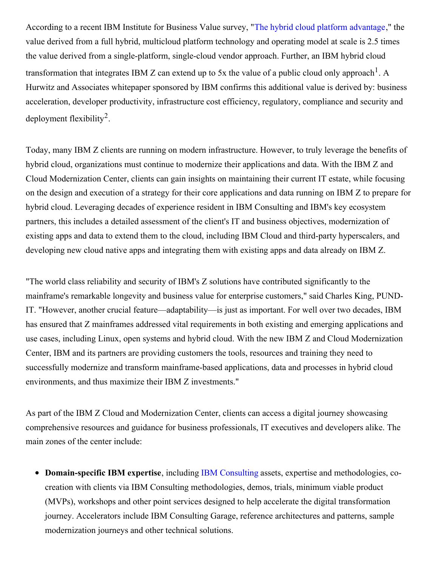According to a recent IBM Institute for Business Value survey, "The hybrid cloud platform [advantage](https://c212.net/c/link/?t=0&l=en&o=3382707-1&h=1257826461&u=https%3A%2F%2Fwww.ibm.com%2Fdownloads%2Fcas%2FQMRQEROB&a=The+hybrid+cloud+platform+advantage)," the value derived from a full hybrid, multicloud platform technology and operating model at scale is 2.5 times the value derived from a single-platform, single-cloud vendor approach. Further, an IBM hybrid cloud transformation that integrates IBM Z can extend up to 5x the value of a public cloud only approach  $^1$ . A Hurwitz and Associates whitepaper sponsored by IBM confirms this additional value is derived by: business acceleration, developer productivity, infrastructure cost efficiency, regulatory, compliance and security and deployment flexibility<sup>2</sup>.

Today, many IBM Z clients are running on modern infrastructure. However, to truly leverage the benefits of hybrid cloud, organizations must continue to modernize their applications and data. With the IBM Z and Cloud Modernization Center, clients can gain insights on maintaining their current IT estate, while focusing on the design and execution of a strategy for their core applications and data running on IBM Z to prepare for hybrid cloud. Leveraging decades of experience resident in IBM Consulting and IBM's key ecosystem partners, this includes a detailed assessment of the client's IT and business objectives, modernization of existing apps and data to extend them to the cloud, including IBM Cloud and third-party hyperscalers, and developing new cloud native apps and integrating them with existing apps and data already on IBM Z.

"The world class reliability and security of IBM's Z solutions have contributed significantly to the mainframe's remarkable longevity and business value for enterprise customers," said Charles King, PUND-IT. "However, another crucial feature—adaptability—is just as important. For well over two decades, IBM has ensured that Z mainframes addressed vital requirements in both existing and emerging applications and use cases, including Linux, open systems and hybrid cloud. With the new IBM Z and Cloud Modernization Center, IBM and its partners are providing customers the tools, resources and training they need to successfully modernize and transform mainframe-based applications, data and processes in hybrid cloud environments, and thus maximize their IBM Z investments."

As part of the IBM Z Cloud and Modernization Center, clients can access a digital journey showcasing comprehensive resources and guidance for business professionals, IT executives and developers alike. The main zones of the center include:

**Domain-specific IBM expertise**, including IBM [Consulting](https://c212.net/c/link/?t=0&l=en&o=3382707-1&h=1348639372&u=https%3A%2F%2Fwww.ibm.com%2Fconsulting&a=IBM+Consulting) assets, expertise and methodologies, cocreation with clients via IBM Consulting methodologies, demos, trials, minimum viable product (MVPs), workshops and other point services designed to help accelerate the digital transformation journey. Accelerators include IBM Consulting Garage, reference architectures and patterns, sample modernization journeys and other technical solutions.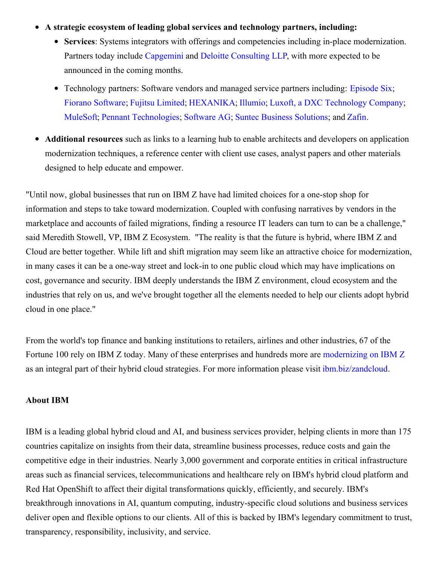## **A strategic ecosystem of leading global services and technology partners, including:**

- **Services**: Systems integrators with offerings and competencies including in-place modernization. Partners today include [Capgemini](https://c212.net/c/link/?t=0&l=en&o=3382707-1&h=872726581&u=https%3A%2F%2Fwww.capgemini.com%2Fus-en%2F&a=Capgemini) and Deloitte [Consulting](https://c212.net/c/link/?t=0&l=en&o=3382707-1&h=50641034&u=https%3A%2F%2Fwww2.deloitte.com%2Fus%2Fen%2Fpages%2Fabout-deloitte%2Fsolutions%2Fdeloitte-technology-alliances-ibm.html&a=Deloitte+Consulting+LLP) LLP, with more expected to be announced in the coming months.
- Technology partners: Software vendors and managed service partners including: [Episode](https://c212.net/c/link/?t=0&l=en&o=3382707-1&h=1352919375&u=https%3A%2F%2Fepisodesix.com%2Fen%2Fibm-z%2F&a=Episode+Six) Six; Fiorano [Software](https://c212.net/c/link/?t=0&l=en&o=3382707-1&h=2907053220&u=https%3A%2F%2Fwww.fiorano.com%2Fsolutions%2Fibm&a=Fiorano+Software); Fujitsu [Limited](https://c212.net/c/link/?t=0&l=en&o=3382707-1&h=3777354869&u=https%3A%2F%2Furldefense.proofpoint.com%2Fv2%2Furl%3Fu%3Dhttps-3A__www.fast.fujitsu.com_%26d%3DDwMGaQ%26c%3Djf_iaSHvJObTbx-siA1ZOg%26r%3DmG5uOKMTzJ1yxSmdi04MXwM9OKeHqiaC-_QAfgPJnSc%26m%3Du6gnP1cz_6lG3EY9Fcx-HU-KeJEhytEUWukopFU4lj0%26s%3DkVcbyNV6LOToyxjMtfQKpHdH4MsD9oNL2-rvoL4no4M%26e%3D&a=Fujitsu+Limited%2C+Software+Business+Unit); [HEXANIKA](https://c212.net/c/link/?t=0&l=en&o=3382707-1&h=3176826486&u=https%3A%2F%2Fhexanika.com%2F&a=HEXANIKA); [Illumio](https://c212.net/c/link/?t=0&l=en&o=3382707-1&h=1346730462&u=https%3A%2F%2Fwww.illumio.com%2F%3Futm_source%3Dibm%26utm_medium%3Ddirect%26utm_content%3Dpr&a=Illumio); Luxoft, a DXC [Technology](https://c212.net/c/link/?t=0&l=en&o=3382707-1&h=3019523365&u=http%3A%2F%2Fwww.luxoft.com%2F&a=Luxoft%2C+a+DXC+Technology+Company) Company; [MuleSoft;](https://c212.net/c/link/?t=0&l=en&o=3382707-1&h=445259832&u=https%3A%2F%2Fibm.biz%2FzDIH-MS-blog&a=MuleSoft) Pennant [Technologies](https://c212.net/c/link/?t=0&l=en&o=3382707-1&h=2254863743&u=http%3A%2F%2Fwww.pennanttech.com%2F&a=Pennant+Technologies); [Software](https://c212.net/c/link/?t=0&l=en&o=3382707-1&h=3513017798&u=https%3A%2F%2Fwww.softwareag.com%2Fen_corporate%2Fplatform%2Fintegration-apis%2Fmainframe-integration.html&a=Software+AG) AG; Suntec Business [Solutions](https://c212.net/c/link/?t=0&l=en&o=3382707-1&h=3569836829&u=http%3A%2F%2Fwww.suntecgroup.com%2F&a=Suntec+Business+Solutions); and [Zafin](https://c212.net/c/link/?t=0&l=en&o=3382707-1&h=2009385322&u=https%3A%2F%2Fzafin.com%2Fzafin-partnership-with-ibm%2F&a=Zafin).
- **Additional resources** such as links to a learning hub to enable architects and developers on application  $\bullet$ modernization techniques, a reference center with client use cases, analyst papers and other materials designed to help educate and empower.

"Until now, global businesses that run on IBM Z have had limited choices for a one-stop shop for information and steps to take toward modernization. Coupled with confusing narratives by vendors in the marketplace and accounts of failed migrations, finding a resource IT leaders can turn to can be a challenge," said Meredith Stowell, VP, IBM Z Ecosystem. "The reality is that the future is hybrid, where IBM Z and Cloud are better together. While lift and shift migration may seem like an attractive choice for modernization, in many cases it can be a one-way street and lock-in to one public cloud which may have implications on cost, governance and security. IBM deeply understands the IBM Z environment, cloud ecosystem and the industries that rely on us, and we've brought together all the elements needed to help our clients adopt hybrid cloud in one place."

From the world's top finance and banking institutions to retailers, airlines and other industries, 67 of the Fortune 100 rely on IBM Z today. Many of these enterprises and hundreds more are [modernizing](https://c212.net/c/link/?t=0&l=en&o=3382707-1&h=1622582024&u=https%3A%2F%2Fwww.ibm.com%2Fcommunity%2Fz-and-cloud%2Fbrowse-resources%2F%3Ffilter-content-type%3DCase%2520Study%26filter-paged%3D1&a=modernizing+on+IBM+Z) on IBM Z as an integral part of their hybrid cloud strategies. For more information please visit [ibm.biz/zandcloud](https://c212.net/c/link/?t=0&l=en&o=3382707-1&h=2666492234&u=http%3A%2F%2Fibm.biz%2Fzandcloud&a=ibm.biz%2Fzandcloud).

## **About IBM**

IBM is a leading global hybrid cloud and AI, and business services provider, helping clients in more than 175 countries capitalize on insights from their data, streamline business processes, reduce costs and gain the competitive edge in their industries. Nearly 3,000 government and corporate entities in critical infrastructure areas such as financial services, telecommunications and healthcare rely on IBM's hybrid cloud platform and Red Hat OpenShift to affect their digital transformations quickly, efficiently, and securely. IBM's breakthrough innovations in AI, quantum computing, industry-specific cloud solutions and business services deliver open and flexible options to our clients. All of this is backed by IBM's legendary commitment to trust, transparency, responsibility, inclusivity, and service.